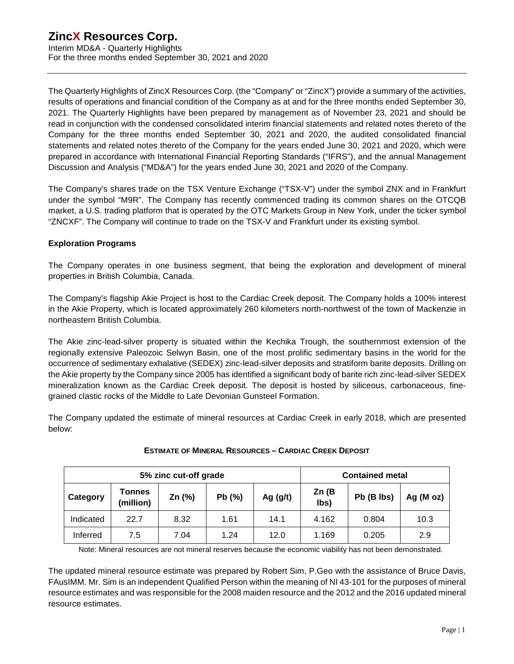Interim MD&A - Quarterly Highlights For the three months ended September 30, 2021 and 2020

The Quarterly Highlights of ZincX Resources Corp. (the "Company" or "ZincX") provide a summary of the activities, results of operations and financial condition of the Company as at and for the three months ended September 30, 2021. The Quarterly Highlights have been prepared by management as of November 23, 2021 and should be read in conjunction with the condensed consolidated interim financial statements and related notes thereto of the Company for the three months ended September 30, 2021 and 2020, the audited consolidated financial statements and related notes thereto of the Company for the years ended June 30, 2021 and 2020, which were prepared in accordance with International Financial Reporting Standards ("IFRS"), and the annual Management Discussion and Analysis ("MD&A") for the years ended June 30, 2021 and 2020 of the Company.

The Company's shares trade on the TSX Venture Exchange ("TSX-V") under the symbol ZNX and in Frankfurt under the symbol "M9R". The Company has recently commenced trading its common shares on the OTCQB market, a U.S. trading platform that is operated by the OTC Markets Group in New York, under the ticker symbol "ZNCXF". The Company will continue to trade on the TSX-V and Frankfurt under its existing symbol.

### **Exploration Programs**

The Company operates in one business segment, that being the exploration and development of mineral properties in British Columbia, Canada.

The Company's flagship Akie Project is host to the Cardiac Creek deposit. The Company holds a 100% interest in the Akie Property, which is located approximately 260 kilometers north-northwest of the town of Mackenzie in northeastern British Columbia.

The Akie zinc-lead-silver property is situated within the Kechika Trough, the southernmost extension of the regionally extensive Paleozoic Selwyn Basin, one of the most prolific sedimentary basins in the world for the occurrence of sedimentary exhalative (SEDEX) zinc-lead-silver deposits and stratiform barite deposits. Drilling on the Akie property by the Company since 2005 has identified a significant body of barite rich zinc-lead-silver SEDEX mineralization known as the Cardiac Creek deposit. The deposit is hosted by siliceous, carbonaceous, finegrained clastic rocks of the Middle to Late Devonian Gunsteel Formation.

The Company updated the estimate of mineral resources at Cardiac Creek in early 2018, which are presented below:

| 5% zinc cut-off grade |                            |          |       |            | <b>Contained metal</b> |            |              |
|-----------------------|----------------------------|----------|-------|------------|------------------------|------------|--------------|
| Category              | <b>Tonnes</b><br>(million) | Zn $(%)$ | Pb(%) | Ag $(g/t)$ | Zn(B)<br>lbs)          | Pb (B lbs) | Ag ( $M$ oz) |
| Indicated             | 22.7                       | 8.32     | 1.61  | 14.1       | 4.162                  | 0.804      | 10.3         |
| Inferred              | 7.5                        | 7.04     | 1.24  | 12.0       | 1.169                  | 0.205      | 2.9          |

### **ESTIMATE OF MINERAL RESOURCES – CARDIAC CREEK DEPOSIT**

Note: Mineral resources are not mineral reserves because the economic viability has not been demonstrated.

The updated mineral resource estimate was prepared by Robert Sim, P.Geo with the assistance of Bruce Davis, FAusIMM. Mr. Sim is an independent Qualified Person within the meaning of NI 43-101 for the purposes of mineral resource estimates and was responsible for the 2008 maiden resource and the 2012 and the 2016 updated mineral resource estimates.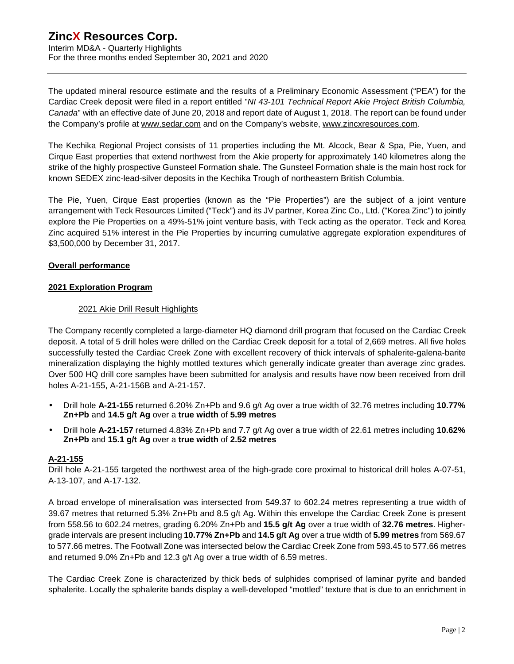Interim MD&A - Quarterly Highlights For the three months ended September 30, 2021 and 2020

The updated mineral resource estimate and the results of a Preliminary Economic Assessment ("PEA") for the Cardiac Creek deposit were filed in a report entitled "*NI 43-101 Technical Report Akie Project British Columbia, Canada*" with an effective date of June 20, 2018 and report date of August 1, 2018. The report can be found under the Company's profile at [www.sedar.com](http://www.sedar.com) and on the Company's website, [www.zincxresources.com](http://www.zincxresources.com).

The Kechika Regional Project consists of 11 properties including the Mt. Alcock, Bear & Spa, Pie, Yuen, and Cirque East properties that extend northwest from the Akie property for approximately 140 kilometres along the strike of the highly prospective Gunsteel Formation shale. The Gunsteel Formation shale is the main host rock for known SEDEX zinc-lead-silver deposits in the Kechika Trough of northeastern British Columbia.

The Pie, Yuen, Cirque East properties (known as the "Pie Properties") are the subject of a joint venture arrangement with Teck Resources Limited ("Teck") and its JV partner, Korea Zinc Co., Ltd. ("Korea Zinc") to jointly explore the Pie Properties on a 49%-51% joint venture basis, with Teck acting as the operator. Teck and Korea Zinc acquired 51% interest in the Pie Properties by incurring cumulative aggregate exploration expenditures of \$3,500,000 by December 31, 2017.

### **Overall performance**

### **2021 Exploration Program**

### 2021 Akie Drill Result Highlights

The Company recently completed a large-diameter HQ diamond drill program that focused on the Cardiac Creek deposit. A total of 5 drill holes were drilled on the Cardiac Creek deposit for a total of 2,669 metres. All five holes successfully tested the Cardiac Creek Zone with excellent recovery of thick intervals of sphalerite-galena-barite mineralization displaying the highly mottled textures which generally indicate greater than average zinc grades. Over 500 HQ drill core samples have been submitted for analysis and results have now been received from drill holes A-21-155, A-21-156B and A-21-157.

- Drill hole **A-21-155** returned 6.20% Zn+Pb and 9.6 g/t Ag over a true width of 32.76 metres including **10.77% Zn+Pb** and **14.5 g/t Ag** over a **true width** of **5.99 metres**
- Drill hole **A-21-157** returned 4.83% Zn+Pb and 7.7 g/t Ag over a true width of 22.61 metres including **10.62% Zn+Pb** and **15.1 g/t Ag** over a **true width** of **2.52 metres**

### **A-21-155**

Drill hole A-21-155 targeted the northwest area of the high-grade core proximal to historical drill holes A-07-51, A-13-107, and A-17-132.

A broad envelope of mineralisation was intersected from 549.37 to 602.24 metres representing a true width of 39.67 metres that returned 5.3% Zn+Pb and 8.5 g/t Ag. Within this envelope the Cardiac Creek Zone is present from 558.56 to 602.24 metres, grading 6.20% Zn+Pb and **15.5 g/t Ag** over a true width of **32.76 metres**. Highergrade intervals are present including **10.77% Zn+Pb** and **14.5 g/t Ag** over a true width of **5.99 metres** from 569.67 to 577.66 metres. The Footwall Zone was intersected below the Cardiac Creek Zone from 593.45 to 577.66 metres and returned 9.0% Zn+Pb and 12.3 g/t Ag over a true width of 6.59 metres.

The Cardiac Creek Zone is characterized by thick beds of sulphides comprised of laminar pyrite and banded sphalerite. Locally the sphalerite bands display a well-developed "mottled" texture that is due to an enrichment in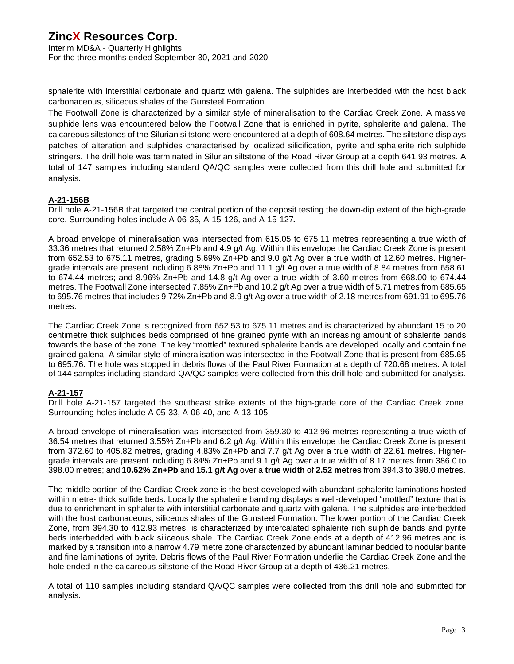Interim MD&A - Quarterly Highlights For the three months ended September 30, 2021 and 2020

sphalerite with interstitial carbonate and quartz with galena. The sulphides are interbedded with the host black carbonaceous, siliceous shales of the Gunsteel Formation.

The Footwall Zone is characterized by a similar style of mineralisation to the Cardiac Creek Zone. A massive sulphide lens was encountered below the Footwall Zone that is enriched in pyrite, sphalerite and galena. The calcareous siltstones of the Silurian siltstone were encountered at a depth of 608.64 metres. The siltstone displays patches of alteration and sulphides characterised by localized silicification, pyrite and sphalerite rich sulphide stringers. The drill hole was terminated in Silurian siltstone of the Road River Group at a depth 641.93 metres. A total of 147 samples including standard QA/QC samples were collected from this drill hole and submitted for analysis.

### **A-21-156B**

Drill hole A-21-156B that targeted the central portion of the deposit testing the down-dip extent of the high-grade core. Surrounding holes include A-06-35, A-15-126, and A-15-127**.** 

A broad envelope of mineralisation was intersected from 615.05 to 675.11 metres representing a true width of 33.36 metres that returned 2.58% Zn+Pb and 4.9 g/t Ag. Within this envelope the Cardiac Creek Zone is present from 652.53 to 675.11 metres, grading 5.69% Zn+Pb and 9.0 g/t Ag over a true width of 12.60 metres. Highergrade intervals are present including 6.88% Zn+Pb and 11.1 g/t Ag over a true width of 8.84 metres from 658.61 to 674.44 metres; and 8.96% Zn+Pb and 14.8 g/t Ag over a true width of 3.60 metres from 668.00 to 674.44 metres. The Footwall Zone intersected 7.85% Zn+Pb and 10.2 g/t Ag over a true width of 5.71 metres from 685.65 to 695.76 metres that includes 9.72% Zn+Pb and 8.9 g/t Ag over a true width of 2.18 metres from 691.91 to 695.76 metres.

The Cardiac Creek Zone is recognized from 652.53 to 675.11 metres and is characterized by abundant 15 to 20 centimetre thick sulphides beds comprised of fine grained pyrite with an increasing amount of sphalerite bands towards the base of the zone. The key "mottled" textured sphalerite bands are developed locally and contain fine grained galena. A similar style of mineralisation was intersected in the Footwall Zone that is present from 685.65 to 695.76. The hole was stopped in debris flows of the Paul River Formation at a depth of 720.68 metres. A total of 144 samples including standard QA/QC samples were collected from this drill hole and submitted for analysis.

### **A-21-157**

Drill hole A-21-157 targeted the southeast strike extents of the high-grade core of the Cardiac Creek zone. Surrounding holes include A-05-33, A-06-40, and A-13-105.

A broad envelope of mineralisation was intersected from 359.30 to 412.96 metres representing a true width of 36.54 metres that returned 3.55% Zn+Pb and 6.2 g/t Ag. Within this envelope the Cardiac Creek Zone is present from 372.60 to 405.82 metres, grading 4.83% Zn+Pb and 7.7 g/t Ag over a true width of 22.61 metres. Highergrade intervals are present including 6.84% Zn+Pb and 9.1 g/t Ag over a true width of 8.17 metres from 386.0 to 398.00 metres; and **10.62% Zn+Pb** and **15.1 g/t Ag** over a **true width** of **2.52 metres** from 394.3 to 398.0 metres.

The middle portion of the Cardiac Creek zone is the best developed with abundant sphalerite laminations hosted within metre- thick sulfide beds. Locally the sphalerite banding displays a well-developed "mottled" texture that is due to enrichment in sphalerite with interstitial carbonate and quartz with galena. The sulphides are interbedded with the host carbonaceous, siliceous shales of the Gunsteel Formation. The lower portion of the Cardiac Creek Zone, from 394.30 to 412.93 metres, is characterized by intercalated sphalerite rich sulphide bands and pyrite beds interbedded with black siliceous shale. The Cardiac Creek Zone ends at a depth of 412.96 metres and is marked by a transition into a narrow 4.79 metre zone characterized by abundant laminar bedded to nodular barite and fine laminations of pyrite. Debris flows of the Paul River Formation underlie the Cardiac Creek Zone and the hole ended in the calcareous siltstone of the Road River Group at a depth of 436.21 metres.

A total of 110 samples including standard QA/QC samples were collected from this drill hole and submitted for analysis.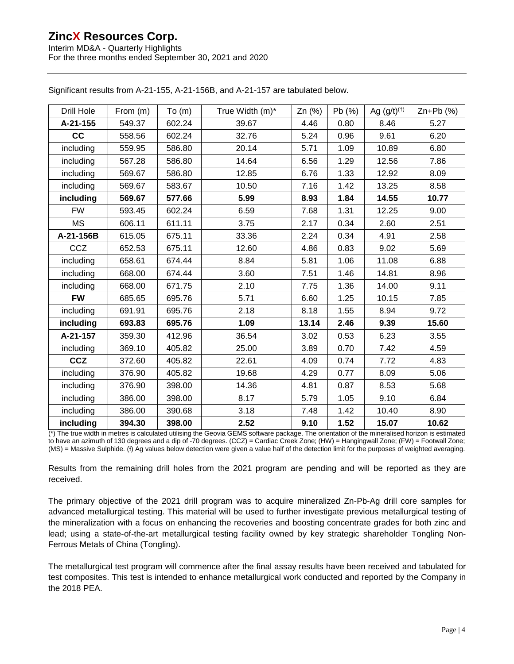Interim MD&A - Quarterly Highlights For the three months ended September 30, 2021 and 2020

| Drill Hole | From (m) | To(m)  | True Width (m)* | $Zn$ (%) | Pb(%) | Ag $(g/t)^{(+)}$ | $Zn+Pb$ (%) |
|------------|----------|--------|-----------------|----------|-------|------------------|-------------|
| A-21-155   | 549.37   | 602.24 | 39.67           | 4.46     | 0.80  | 8.46             | 5.27        |
| cc         | 558.56   | 602.24 | 32.76           | 5.24     | 0.96  | 9.61             | 6.20        |
| including  | 559.95   | 586.80 | 20.14           | 5.71     | 1.09  | 10.89            | 6.80        |
| including  | 567.28   | 586.80 | 14.64           | 6.56     | 1.29  | 12.56            | 7.86        |
| including  | 569.67   | 586.80 | 12.85           | 6.76     | 1.33  | 12.92            | 8.09        |
| including  | 569.67   | 583.67 | 10.50           | 7.16     | 1.42  | 13.25            | 8.58        |
| including  | 569.67   | 577.66 | 5.99            | 8.93     | 1.84  | 14.55            | 10.77       |
| <b>FW</b>  | 593.45   | 602.24 | 6.59            | 7.68     | 1.31  | 12.25            | 9.00        |
| <b>MS</b>  | 606.11   | 611.11 | 3.75            | 2.17     | 0.34  | 2.60             | 2.51        |
| A-21-156B  | 615.05   | 675.11 | 33.36           | 2.24     | 0.34  | 4.91             | 2.58        |
| CCZ        | 652.53   | 675.11 | 12.60           | 4.86     | 0.83  | 9.02             | 5.69        |
| including  | 658.61   | 674.44 | 8.84            | 5.81     | 1.06  | 11.08            | 6.88        |
| including  | 668.00   | 674.44 | 3.60            | 7.51     | 1.46  | 14.81            | 8.96        |
| including  | 668.00   | 671.75 | 2.10            | 7.75     | 1.36  | 14.00            | 9.11        |
| <b>FW</b>  | 685.65   | 695.76 | 5.71            | 6.60     | 1.25  | 10.15            | 7.85        |
| including  | 691.91   | 695.76 | 2.18            | 8.18     | 1.55  | 8.94             | 9.72        |
| including  | 693.83   | 695.76 | 1.09            | 13.14    | 2.46  | 9.39             | 15.60       |
| A-21-157   | 359.30   | 412.96 | 36.54           | 3.02     | 0.53  | 6.23             | 3.55        |
| including  | 369.10   | 405.82 | 25.00           | 3.89     | 0.70  | 7.42             | 4.59        |
| <b>CCZ</b> | 372.60   | 405.82 | 22.61           | 4.09     | 0.74  | 7.72             | 4.83        |
| including  | 376.90   | 405.82 | 19.68           | 4.29     | 0.77  | 8.09             | 5.06        |
| including  | 376.90   | 398.00 | 14.36           | 4.81     | 0.87  | 8.53             | 5.68        |
| including  | 386.00   | 398.00 | 8.17            | 5.79     | 1.05  | 9.10             | 6.84        |
| including  | 386.00   | 390.68 | 3.18            | 7.48     | 1.42  | 10.40            | 8.90        |
| including  | 394.30   | 398.00 | 2.52            | 9.10     | 1.52  | 15.07            | 10.62       |

Significant results from A-21-155, A-21-156B, and A-21-157 are tabulated below.

(\*) The true width in metres is calculated utilising the Geovia GEMS software package. The orientation of the mineralised horizon is estimated to have an azimuth of 130 degrees and a dip of -70 degrees. (CCZ) = Cardiac Creek Zone; (HW) = Hangingwall Zone; (FW) = Footwall Zone; (MS) = Massive Sulphide. (I) Ag values below detection were given a value half of the detection limit for the purposes of weighted averaging.

Results from the remaining drill holes from the 2021 program are pending and will be reported as they are received.

The primary objective of the 2021 drill program was to acquire mineralized Zn-Pb-Ag drill core samples for advanced metallurgical testing. This material will be used to further investigate previous metallurgical testing of the mineralization with a focus on enhancing the recoveries and boosting concentrate grades for both zinc and lead; using a state-of-the-art metallurgical testing facility owned by key strategic shareholder Tongling Non-Ferrous Metals of China (Tongling).

The metallurgical test program will commence after the final assay results have been received and tabulated for test composites. This test is intended to enhance metallurgical work conducted and reported by the Company in the 2018 PEA.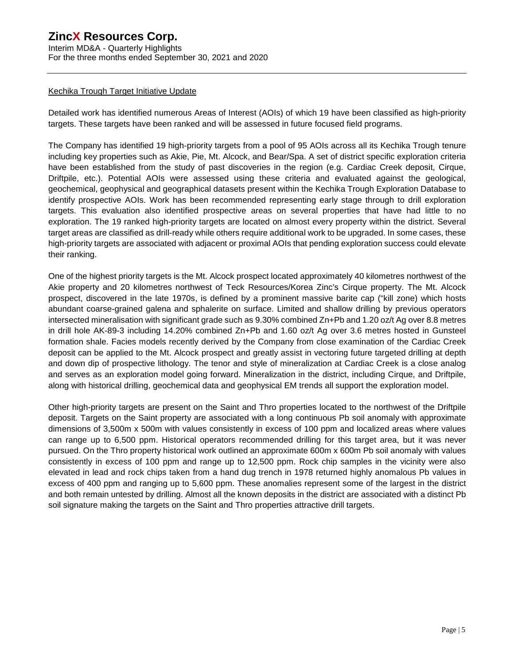Interim MD&A - Quarterly Highlights For the three months ended September 30, 2021 and 2020

#### Kechika Trough Target Initiative Update

Detailed work has identified numerous Areas of Interest (AOIs) of which 19 have been classified as high-priority targets. These targets have been ranked and will be assessed in future focused field programs.

The Company has identified 19 high-priority targets from a pool of 95 AOIs across all its Kechika Trough tenure including key properties such as Akie, Pie, Mt. Alcock, and Bear/Spa. A set of district specific exploration criteria have been established from the study of past discoveries in the region (e.g. Cardiac Creek deposit, Cirque, Driftpile, etc.). Potential AOIs were assessed using these criteria and evaluated against the geological, geochemical, geophysical and geographical datasets present within the Kechika Trough Exploration Database to identify prospective AOIs. Work has been recommended representing early stage through to drill exploration targets. This evaluation also identified prospective areas on several properties that have had little to no exploration. The 19 ranked high-priority targets are located on almost every property within the district. Several target areas are classified as drill-ready while others require additional work to be upgraded. In some cases, these high-priority targets are associated with adjacent or proximal AOIs that pending exploration success could elevate their ranking.

One of the highest priority targets is the Mt. Alcock prospect located approximately 40 kilometres northwest of the Akie property and 20 kilometres northwest of Teck Resources/Korea Zinc's Cirque property. The Mt. Alcock prospect, discovered in the late 1970s, is defined by a prominent massive barite cap ("kill zone) which hosts abundant coarse-grained galena and sphalerite on surface. Limited and shallow drilling by previous operators intersected mineralisation with significant grade such as 9.30% combined Zn+Pb and 1.20 oz/t Ag over 8.8 metres in drill hole AK-89-3 including 14.20% combined Zn+Pb and 1.60 oz/t Ag over 3.6 metres hosted in Gunsteel formation shale. Facies models recently derived by the Company from close examination of the Cardiac Creek deposit can be applied to the Mt. Alcock prospect and greatly assist in vectoring future targeted drilling at depth and down dip of prospective lithology. The tenor and style of mineralization at Cardiac Creek is a close analog and serves as an exploration model going forward. Mineralization in the district, including Cirque, and Driftpile, along with historical drilling, geochemical data and geophysical EM trends all support the exploration model.

Other high-priority targets are present on the Saint and Thro properties located to the northwest of the Driftpile deposit. Targets on the Saint property are associated with a long continuous Pb soil anomaly with approximate dimensions of 3,500m x 500m with values consistently in excess of 100 ppm and localized areas where values can range up to 6,500 ppm. Historical operators recommended drilling for this target area, but it was never pursued. On the Thro property historical work outlined an approximate 600m x 600m Pb soil anomaly with values consistently in excess of 100 ppm and range up to 12,500 ppm. Rock chip samples in the vicinity were also elevated in lead and rock chips taken from a hand dug trench in 1978 returned highly anomalous Pb values in excess of 400 ppm and ranging up to 5,600 ppm. These anomalies represent some of the largest in the district and both remain untested by drilling. Almost all the known deposits in the district are associated with a distinct Pb soil signature making the targets on the Saint and Thro properties attractive drill targets.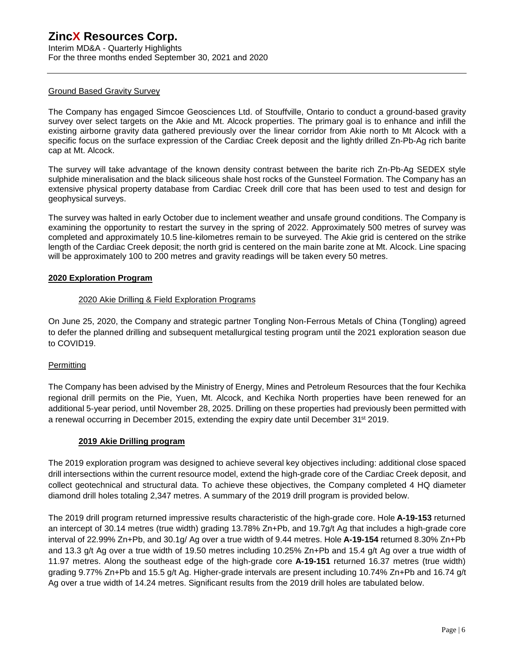Interim MD&A - Quarterly Highlights For the three months ended September 30, 2021 and 2020

### Ground Based Gravity Survey

The Company has engaged Simcoe Geosciences Ltd. of Stouffville, Ontario to conduct a ground-based gravity survey over select targets on the Akie and Mt. Alcock properties. The primary goal is to enhance and infill the existing airborne gravity data gathered previously over the linear corridor from Akie north to Mt Alcock with a specific focus on the surface expression of the Cardiac Creek deposit and the lightly drilled Zn-Pb-Ag rich barite cap at Mt. Alcock.

The survey will take advantage of the known density contrast between the barite rich Zn-Pb-Ag SEDEX style sulphide mineralisation and the black siliceous shale host rocks of the Gunsteel Formation. The Company has an extensive physical property database from Cardiac Creek drill core that has been used to test and design for geophysical surveys.

The survey was halted in early October due to inclement weather and unsafe ground conditions. The Company is examining the opportunity to restart the survey in the spring of 2022. Approximately 500 metres of survey was completed and approximately 10.5 line-kilometres remain to be surveyed. The Akie grid is centered on the strike length of the Cardiac Creek deposit; the north grid is centered on the main barite zone at Mt. Alcock. Line spacing will be approximately 100 to 200 metres and gravity readings will be taken every 50 metres.

#### **2020 Exploration Program**

#### 2020 Akie Drilling & Field Exploration Programs

On June 25, 2020, the Company and strategic partner Tongling Non-Ferrous Metals of China (Tongling) agreed to defer the planned drilling and subsequent metallurgical testing program until the 2021 exploration season due to COVID19.

### **Permitting**

The Company has been advised by the Ministry of Energy, Mines and Petroleum Resources that the four Kechika regional drill permits on the Pie, Yuen, Mt. Alcock, and Kechika North properties have been renewed for an additional 5-year period, until November 28, 2025. Drilling on these properties had previously been permitted with a renewal occurring in December 2015, extending the expiry date until December 31<sup>st</sup> 2019.

#### **2019 Akie Drilling program**

The 2019 exploration program was designed to achieve several key objectives including: additional close spaced drill intersections within the current resource model, extend the high-grade core of the Cardiac Creek deposit, and collect geotechnical and structural data. To achieve these objectives, the Company completed 4 HQ diameter diamond drill holes totaling 2,347 metres. A summary of the 2019 drill program is provided below.

The 2019 drill program returned impressive results characteristic of the high-grade core. Hole **A-19-153** returned an intercept of 30.14 metres (true width) grading 13.78% Zn+Pb, and 19.7g/t Ag that includes a high-grade core interval of 22.99% Zn+Pb, and 30.1g/ Ag over a true width of 9.44 metres. Hole **A-19-154** returned 8.30% Zn+Pb and 13.3 g/t Ag over a true width of 19.50 metres including 10.25% Zn+Pb and 15.4 g/t Ag over a true width of 11.97 metres. Along the southeast edge of the high-grade core **A-19-151** returned 16.37 metres (true width) grading 9.77% Zn+Pb and 15.5 g/t Ag. Higher-grade intervals are present including 10.74% Zn+Pb and 16.74 g/t Ag over a true width of 14.24 metres. Significant results from the 2019 drill holes are tabulated below.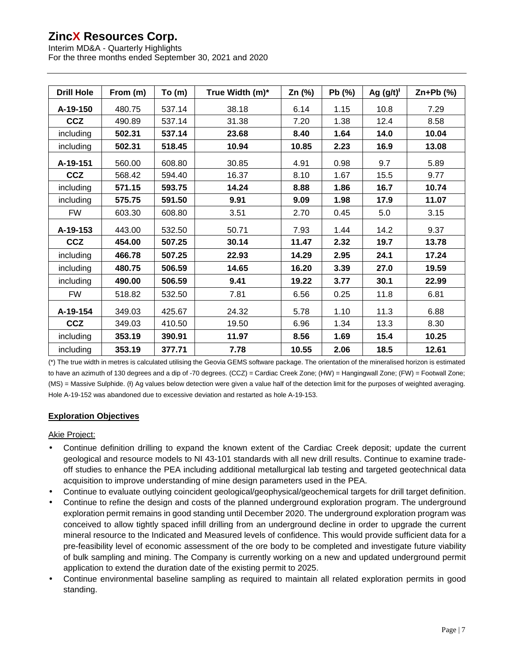Interim MD&A - Quarterly Highlights For the three months ended September 30, 2021 and 2020

| <b>Drill Hole</b> | From (m) | To(m)  | True Width (m)* | Zn (%) | Pb (%) | Ag $(g/t)^{t}$ | $Zn+Pb$ (%) |  |
|-------------------|----------|--------|-----------------|--------|--------|----------------|-------------|--|
| A-19-150          | 480.75   | 537.14 | 38.18           | 6.14   | 1.15   | 10.8           | 7.29        |  |
| <b>CCZ</b>        | 490.89   | 537.14 | 31.38           | 7.20   | 1.38   | 12.4           | 8.58        |  |
| including         | 502.31   | 537.14 | 23.68           | 8.40   | 1.64   | 14.0           | 10.04       |  |
| including         | 502.31   | 518.45 | 10.94           | 10.85  | 2.23   | 16.9           | 13.08       |  |
| A-19-151          | 560.00   | 608.80 | 30.85           | 4.91   | 0.98   | 9.7            | 5.89        |  |
| <b>CCZ</b>        | 568.42   | 594.40 | 16.37           | 8.10   | 1.67   | 15.5           | 9.77        |  |
| including         | 571.15   | 593.75 | 14.24           | 8.88   | 1.86   | 16.7           | 10.74       |  |
| including         | 575.75   | 591.50 | 9.91            | 9.09   | 1.98   | 17.9           | 11.07       |  |
| <b>FW</b>         | 603.30   | 608.80 | 3.51            | 2.70   | 0.45   | 5.0            | 3.15        |  |
| A-19-153          | 443.00   | 532.50 | 50.71           | 7.93   | 1.44   | 14.2           | 9.37        |  |
| <b>CCZ</b>        | 454.00   | 507.25 | 30.14           | 11.47  | 2.32   | 19.7           | 13.78       |  |
| including         | 466.78   | 507.25 | 22.93           | 14.29  | 2.95   | 24.1           | 17.24       |  |
| including         | 480.75   | 506.59 | 14.65           | 16.20  | 3.39   | 27.0           | 19.59       |  |
| including         | 490.00   | 506.59 | 9.41            | 19.22  | 3.77   | 30.1           | 22.99       |  |
| <b>FW</b>         | 518.82   | 532.50 | 7.81            | 6.56   | 0.25   | 11.8           | 6.81        |  |
| A-19-154          | 349.03   | 425.67 | 24.32           | 5.78   | 1.10   | 11.3           | 6.88        |  |
| <b>CCZ</b>        | 349.03   | 410.50 | 19.50           | 6.96   | 1.34   | 13.3           | 8.30        |  |
| including         | 353.19   | 390.91 | 11.97           | 8.56   | 1.69   | 15.4           | 10.25       |  |
| including         | 353.19   | 377.71 | 7.78            | 10.55  | 2.06   | 18.5           | 12.61       |  |

(\*) The true width in metres is calculated utilising the Geovia GEMS software package. The orientation of the mineralised horizon is estimated to have an azimuth of 130 degrees and a dip of -70 degrees. (CCZ) = Cardiac Creek Zone; (HW) = Hangingwall Zone; (FW) = Footwall Zone; (MS) = Massive Sulphide. (+) Ag values below detection were given a value half of the detection limit for the purposes of weighted averaging. Hole A-19-152 was abandoned due to excessive deviation and restarted as hole A-19-153.

### **Exploration Objectives**

### Akie Project:

- Continue definition drilling to expand the known extent of the Cardiac Creek deposit; update the current geological and resource models to NI 43-101 standards with all new drill results. Continue to examine tradeoff studies to enhance the PEA including additional metallurgical lab testing and targeted geotechnical data acquisition to improve understanding of mine design parameters used in the PEA.
- Continue to evaluate outlying coincident geological/geophysical/geochemical targets for drill target definition.
- Continue to refine the design and costs of the planned underground exploration program. The underground exploration permit remains in good standing until December 2020. The underground exploration program was conceived to allow tightly spaced infill drilling from an underground decline in order to upgrade the current mineral resource to the Indicated and Measured levels of confidence. This would provide sufficient data for a pre-feasibility level of economic assessment of the ore body to be completed and investigate future viability of bulk sampling and mining. The Company is currently working on a new and updated underground permit application to extend the duration date of the existing permit to 2025.
- Continue environmental baseline sampling as required to maintain all related exploration permits in good standing.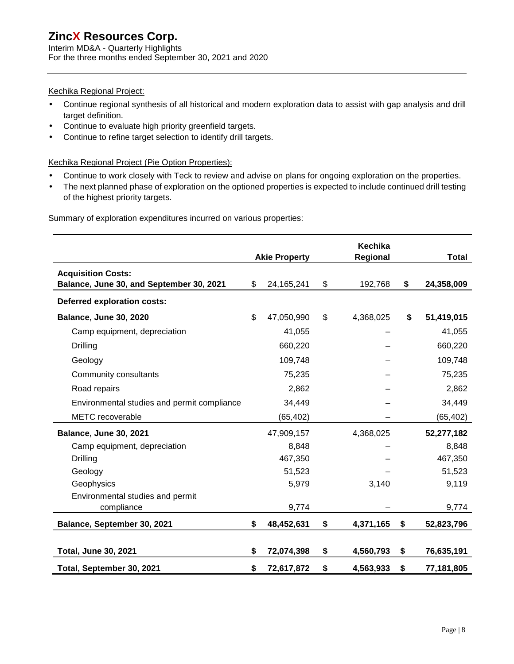Interim MD&A - Quarterly Highlights For the three months ended September 30, 2021 and 2020

### Kechika Regional Project:

- Continue regional synthesis of all historical and modern exploration data to assist with gap analysis and drill ä, target definition.
- Continue to evaluate high priority greenfield targets. ä,
- Continue to refine target selection to identify drill targets. l,

### Kechika Regional Project (Pie Option Properties):

- Continue to work closely with Teck to review and advise on plans for ongoing exploration on the properties. l,
- The next planned phase of exploration on the optioned properties is expected to include continued drill testing ä, of the highest priority targets.

|                                                                       |    |                      | <b>Kechika</b>  |                  |
|-----------------------------------------------------------------------|----|----------------------|-----------------|------------------|
|                                                                       |    | <b>Akie Property</b> | Regional        | <b>Total</b>     |
| <b>Acquisition Costs:</b><br>Balance, June 30, and September 30, 2021 | \$ | 24, 165, 241         | \$<br>192,768   | \$<br>24,358,009 |
| Deferred exploration costs:                                           |    |                      |                 |                  |
| <b>Balance, June 30, 2020</b>                                         |    | 47,050,990           | \$<br>4,368,025 | \$<br>51,419,015 |
| Camp equipment, depreciation                                          |    | 41,055               |                 | 41,055           |
| Drilling                                                              |    | 660,220              |                 | 660,220          |
| Geology                                                               |    | 109,748              |                 | 109,748          |
| Community consultants                                                 |    | 75,235               |                 | 75,235           |
| Road repairs                                                          |    | 2,862                |                 | 2,862            |
| Environmental studies and permit compliance                           |    | 34,449               |                 | 34,449           |
| <b>METC</b> recoverable                                               |    | (65,402)             |                 | (65, 402)        |
| <b>Balance, June 30, 2021</b>                                         |    | 47,909,157           | 4,368,025       | 52,277,182       |
| Camp equipment, depreciation                                          |    | 8,848                |                 | 8,848            |
| <b>Drilling</b>                                                       |    | 467,350              |                 | 467,350          |
| Geology                                                               |    | 51,523               |                 | 51,523           |
| Geophysics                                                            |    | 5,979                | 3,140           | 9,119            |
| Environmental studies and permit                                      |    |                      |                 |                  |
| compliance                                                            |    | 9,774                |                 | 9,774            |
| Balance, September 30, 2021                                           | \$ | 48,452,631           | \$<br>4,371,165 | \$<br>52,823,796 |
| <b>Total, June 30, 2021</b>                                           | \$ | 72,074,398           | \$<br>4,560,793 | \$<br>76,635,191 |
| Total, September 30, 2021                                             | \$ | 72,617,872           | \$<br>4,563,933 | \$<br>77,181,805 |

Summary of exploration expenditures incurred on various properties: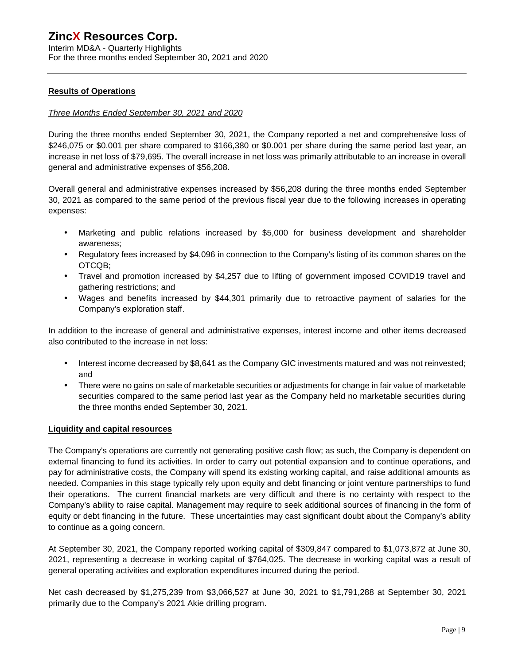Interim MD&A - Quarterly Highlights For the three months ended September 30, 2021 and 2020

### **Results of Operations**

### *Three Months Ended September 30, 2021 and 2020*

During the three months ended September 30, 2021, the Company reported a net and comprehensive loss of \$246,075 or \$0.001 per share compared to \$166,380 or \$0.001 per share during the same period last year, an increase in net loss of \$79,695. The overall increase in net loss was primarily attributable to an increase in overall general and administrative expenses of \$56,208.

Overall general and administrative expenses increased by \$56,208 during the three months ended September 30, 2021 as compared to the same period of the previous fiscal year due to the following increases in operating expenses:

- Marketing and public relations increased by \$5,000 for business development and shareholder awareness;
- Regulatory fees increased by \$4,096 in connection to the Company's listing of its common shares on the OTCQB;
- Travel and promotion increased by \$4,257 due to lifting of government imposed COVID19 travel and gathering restrictions; and
- $\mathcal{L}_{\mathrm{max}}$ Wages and benefits increased by \$44,301 primarily due to retroactive payment of salaries for the Company's exploration staff.

In addition to the increase of general and administrative expenses, interest income and other items decreased also contributed to the increase in net loss:

- ä, Interest income decreased by \$8,641 as the Company GIC investments matured and was not reinvested; and
- $\mathcal{L}^{\pm}$ There were no gains on sale of marketable securities or adjustments for change in fair value of marketable securities compared to the same period last year as the Company held no marketable securities during the three months ended September 30, 2021.

### **Liquidity and capital resources**

The Company's operations are currently not generating positive cash flow; as such, the Company is dependent on external financing to fund its activities. In order to carry out potential expansion and to continue operations, and pay for administrative costs, the Company will spend its existing working capital, and raise additional amounts as needed. Companies in this stage typically rely upon equity and debt financing or joint venture partnerships to fund their operations. The current financial markets are very difficult and there is no certainty with respect to the Company's ability to raise capital. Management may require to seek additional sources of financing in the form of equity or debt financing in the future. These uncertainties may cast significant doubt about the Company's ability to continue as a going concern.

At September 30, 2021, the Company reported working capital of \$309,847 compared to \$1,073,872 at June 30, 2021, representing a decrease in working capital of \$764,025. The decrease in working capital was a result of general operating activities and exploration expenditures incurred during the period.

Net cash decreased by \$1,275,239 from \$3,066,527 at June 30, 2021 to \$1,791,288 at September 30, 2021 primarily due to the Company's 2021 Akie drilling program.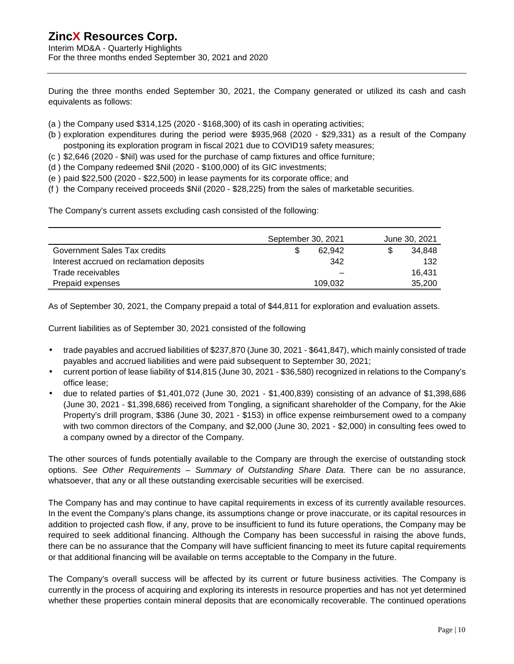Interim MD&A - Quarterly Highlights For the three months ended September 30, 2021 and 2020

During the three months ended September 30, 2021, the Company generated or utilized its cash and cash equivalents as follows:

- $(a)$  the Company used  $$314,125$  (2020  $$168,300$ ) of its cash in operating activities;
- (b ) exploration expenditures during the period were \$935,968 (2020 \$29,331) as a result of the Company postponing its exploration program in fiscal 2021 due to COVID19 safety measures;
- (c ) \$2,646 (2020 \$Nil) was used for the purchase of camp fixtures and office furniture;
- (d ) the Company redeemed \$Nil (2020 \$100,000) of its GIC investments;
- (e ) paid \$22,500 (2020 \$22,500) in lease payments for its corporate office; and
- (f ) the Company received proceeds \$Nil (2020 \$28,225) from the sales of marketable securities.

The Company's current assets excluding cash consisted of the following:

|                                          | September 30, 2021 | June 30, 2021 |
|------------------------------------------|--------------------|---------------|
| Government Sales Tax credits             | 62.942             | 34.848        |
| Interest accrued on reclamation deposits | 342                | 132           |
| Trade receivables                        |                    | 16.431        |
| Prepaid expenses                         | 109.032            | 35,200        |

As of September 30, 2021, the Company prepaid a total of \$44,811 for exploration and evaluation assets.

Current liabilities as of September 30, 2021 consisted of the following

- trade payables and accrued liabilities of \$237,870 (June 30, 2021 \$641,847), which mainly consisted of trade payables and accrued liabilities and were paid subsequent to September 30, 2021;
- current portion of lease liability of \$14,815 (June 30, 2021 \$36,580) recognized in relations to the Company's office lease;
- due to related parties of \$1,401,072 (June 30, 2021 \$1,400,839) consisting of an advance of \$1,398,686 (June 30, 2021 - \$1,398,686) received from Tongling, a significant shareholder of the Company, for the Akie Property's drill program, \$386 (June 30, 2021 - \$153) in office expense reimbursement owed to a company with two common directors of the Company, and \$2,000 (June 30, 2021 - \$2,000) in consulting fees owed to a company owned by a director of the Company.

The other sources of funds potentially available to the Company are through the exercise of outstanding stock options. *See Other Requirements – Summary of Outstanding Share Data*. There can be no assurance, whatsoever, that any or all these outstanding exercisable securities will be exercised.

The Company has and may continue to have capital requirements in excess of its currently available resources. In the event the Company's plans change, its assumptions change or prove inaccurate, or its capital resources in addition to projected cash flow, if any, prove to be insufficient to fund its future operations, the Company may be required to seek additional financing. Although the Company has been successful in raising the above funds, there can be no assurance that the Company will have sufficient financing to meet its future capital requirements or that additional financing will be available on terms acceptable to the Company in the future.

The Company's overall success will be affected by its current or future business activities. The Company is currently in the process of acquiring and exploring its interests in resource properties and has not yet determined whether these properties contain mineral deposits that are economically recoverable. The continued operations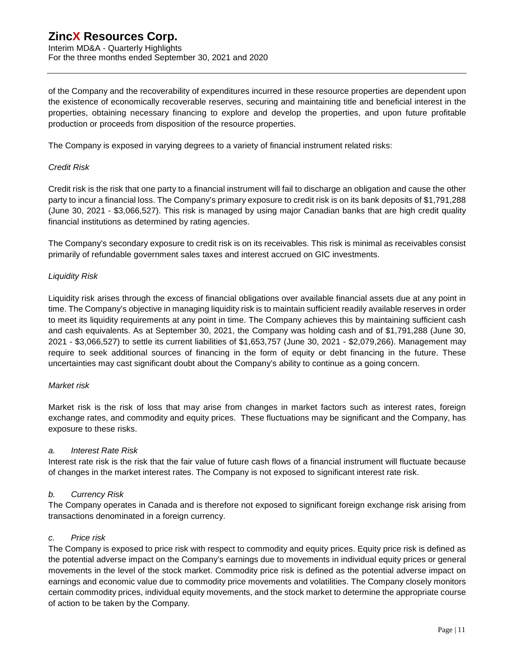Interim MD&A - Quarterly Highlights For the three months ended September 30, 2021 and 2020

of the Company and the recoverability of expenditures incurred in these resource properties are dependent upon the existence of economically recoverable reserves, securing and maintaining title and beneficial interest in the properties, obtaining necessary financing to explore and develop the properties, and upon future profitable production or proceeds from disposition of the resource properties.

The Company is exposed in varying degrees to a variety of financial instrument related risks:

#### *Credit Risk*

Credit risk is the risk that one party to a financial instrument will fail to discharge an obligation and cause the other party to incur a financial loss. The Company's primary exposure to credit risk is on its bank deposits of \$1,791,288 (June 30, 2021 - \$3,066,527). This risk is managed by using major Canadian banks that are high credit quality financial institutions as determined by rating agencies.

The Company's secondary exposure to credit risk is on its receivables. This risk is minimal as receivables consist primarily of refundable government sales taxes and interest accrued on GIC investments.

### *Liquidity Risk*

Liquidity risk arises through the excess of financial obligations over available financial assets due at any point in time. The Company's objective in managing liquidity risk is to maintain sufficient readily available reserves in order to meet its liquidity requirements at any point in time. The Company achieves this by maintaining sufficient cash and cash equivalents. As at September 30, 2021, the Company was holding cash and of \$1,791,288 (June 30, 2021 - \$3,066,527) to settle its current liabilities of \$1,653,757 (June 30, 2021 - \$2,079,266). Management may require to seek additional sources of financing in the form of equity or debt financing in the future. These uncertainties may cast significant doubt about the Company's ability to continue as a going concern.

### *Market risk*

Market risk is the risk of loss that may arise from changes in market factors such as interest rates, foreign exchange rates, and commodity and equity prices. These fluctuations may be significant and the Company, has exposure to these risks.

#### *a. Interest Rate Risk*

Interest rate risk is the risk that the fair value of future cash flows of a financial instrument will fluctuate because of changes in the market interest rates. The Company is not exposed to significant interest rate risk.

### *b. Currency Risk*

The Company operates in Canada and is therefore not exposed to significant foreign exchange risk arising from transactions denominated in a foreign currency.

#### *c. Price risk*

The Company is exposed to price risk with respect to commodity and equity prices. Equity price risk is defined as the potential adverse impact on the Company's earnings due to movements in individual equity prices or general movements in the level of the stock market. Commodity price risk is defined as the potential adverse impact on earnings and economic value due to commodity price movements and volatilities. The Company closely monitors certain commodity prices, individual equity movements, and the stock market to determine the appropriate course of action to be taken by the Company.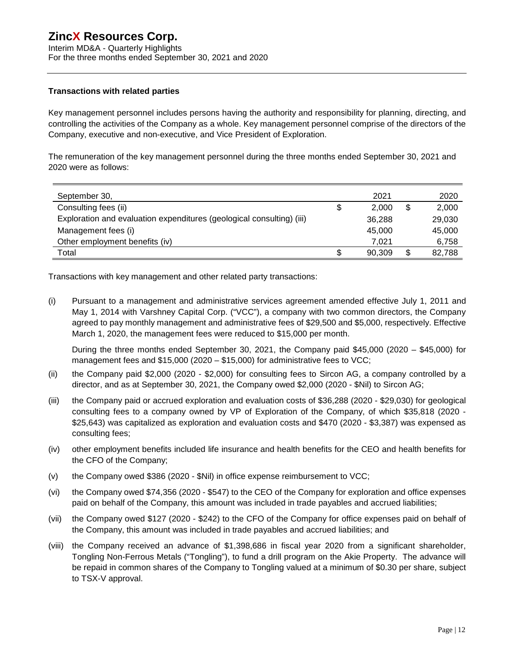Interim MD&A - Quarterly Highlights For the three months ended September 30, 2021 and 2020

#### **Transactions with related parties**

Key management personnel includes persons having the authority and responsibility for planning, directing, and controlling the activities of the Company as a whole. Key management personnel comprise of the directors of the Company, executive and non-executive, and Vice President of Exploration.

The remuneration of the key management personnel during the three months ended September 30, 2021 and 2020 were as follows:

| September 30,                                                         | 2021         | 2020         |
|-----------------------------------------------------------------------|--------------|--------------|
| Consulting fees (ii)                                                  | \$<br>2.000  | 2,000        |
| Exploration and evaluation expenditures (geological consulting) (iii) | 36.288       | 29,030       |
| Management fees (i)                                                   | 45,000       | 45,000       |
| Other employment benefits (iv)                                        | 7.021        | 6,758        |
| Total                                                                 | \$<br>90,309 | \$<br>82,788 |

Transactions with key management and other related party transactions:

(i) Pursuant to a management and administrative services agreement amended effective July 1, 2011 and May 1, 2014 with Varshney Capital Corp. ("VCC"), a company with two common directors, the Company agreed to pay monthly management and administrative fees of \$29,500 and \$5,000, respectively. Effective March 1, 2020, the management fees were reduced to \$15,000 per month.

During the three months ended September 30, 2021, the Company paid \$45,000 (2020 – \$45,000) for management fees and \$15,000 (2020 – \$15,000) for administrative fees to VCC;

- (ii) the Company paid \$2,000 (2020 \$2,000) for consulting fees to Sircon AG, a company controlled by a director, and as at September 30, 2021, the Company owed \$2,000 (2020 - \$Nil) to Sircon AG;
- (iii) the Company paid or accrued exploration and evaluation costs of \$36,288 (2020 \$29,030) for geological consulting fees to a company owned by VP of Exploration of the Company, of which \$35,818 (2020 - \$25,643) was capitalized as exploration and evaluation costs and \$470 (2020 - \$3,387) was expensed as consulting fees;
- (iv) other employment benefits included life insurance and health benefits for the CEO and health benefits for the CFO of the Company;
- (v) the Company owed \$386 (2020 \$Nil) in office expense reimbursement to VCC;
- (vi) the Company owed \$74,356 (2020 \$547) to the CEO of the Company for exploration and office expenses paid on behalf of the Company, this amount was included in trade payables and accrued liabilities;
- (vii) the Company owed \$127 (2020 \$242) to the CFO of the Company for office expenses paid on behalf of the Company, this amount was included in trade payables and accrued liabilities; and
- (viii) the Company received an advance of \$1,398,686 in fiscal year 2020 from a significant shareholder, Tongling Non-Ferrous Metals ("Tongling"), to fund a drill program on the Akie Property. The advance will be repaid in common shares of the Company to Tongling valued at a minimum of \$0.30 per share, subject to TSX-V approval.